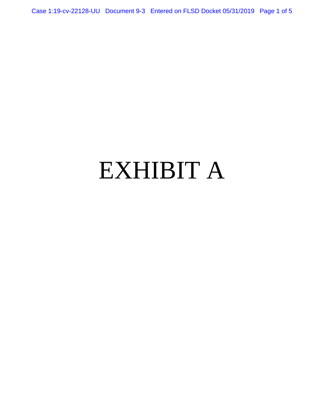Case 1:19-cv-22128-UU Document 9-3 Entered on FLSD Docket 05/31/2019 Page 1 of 5

# EXHIBIT A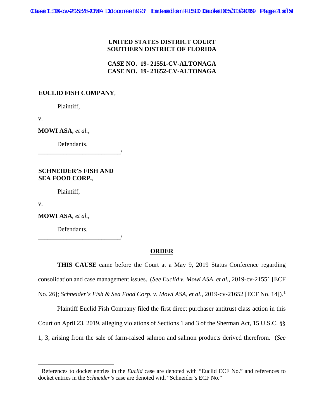### **UNITED STATES DISTRICT COURT SOUTHERN DISTRICT OF FLORIDA**

**CASE NO. 19- 21551-CV-ALTONAGA CASE NO. 19- 21652-CV-ALTONAGA**

## **EUCLID FISH COMPANY**,

Plaintiff,

v.

**MOWI ASA**, *et al.*,

Defendants.

**SCHNEIDER'S FISH AND SEA FOOD CORP.**,

**\_\_\_\_\_\_\_\_\_\_\_\_\_\_\_\_\_\_\_\_\_\_\_\_\_\_**/

Plaintiff,

v.

**MOWI ASA**, *et al.*,

Defendants.

**\_\_\_\_\_\_\_\_\_\_\_\_\_\_\_\_\_\_\_\_\_\_\_\_\_\_**/

#### **ORDER**

**THIS CAUSE** came before the Court at a May 9, 2019 Status Conference regarding consolidation and case management issues. (*See Euclid v. Mowi ASA, et al.*, 2019-cv-21551 [ECF No. 26]; *Schneider's Fish & Sea Food Corp. v. Mowi ASA, et al.*, 2019-cv-21652 [ECF No. 14]).<sup>1</sup>

Plaintiff Euclid Fish Company filed the first direct purchaser antitrust class action in this Court on April 23, 2019, alleging violations of Sections 1 and 3 of the Sherman Act, 15 U.S.C. §§ 1, 3, arising from the sale of farm-raised salmon and salmon products derived therefrom. (*See* 

<sup>&</sup>lt;sup>1</sup> References to docket entries in the *Euclid* case are denoted with "Euclid ECF No." and references to docket entries in the *Schneider's* case are denoted with "Schneider's ECF No."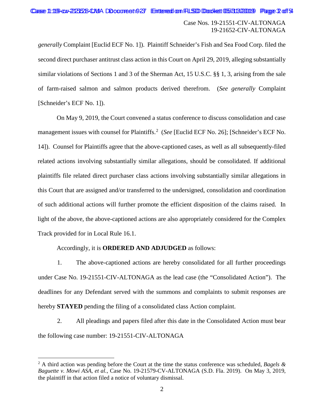Case Nos. 19-21551-CIV-ALTONAGA 19-21652-CIV-ALTONAGA

*generally* Complaint [Euclid ECF No. 1]). Plaintiff Schneider's Fish and Sea Food Corp. filed the second direct purchaser antitrust class action in this Court on April 29, 2019, alleging substantially similar violations of Sections 1 and 3 of the Sherman Act, 15 U.S.C. §§ 1, 3, arising from the sale of farm-raised salmon and salmon products derived therefrom. (*See generally* Complaint [Schneider's ECF No. 1]).

On May 9, 2019, the Court convened a status conference to discuss consolidation and case management issues with counsel for Plaintiffs.<sup>2</sup> (See [Euclid ECF No. 26]; [Schneider's ECF No. 14]). Counsel for Plaintiffs agree that the above-captioned cases, as well as all subsequently-filed related actions involving substantially similar allegations, should be consolidated. If additional plaintiffs file related direct purchaser class actions involving substantially similar allegations in this Court that are assigned and/or transferred to the undersigned, consolidation and coordination of such additional actions will further promote the efficient disposition of the claims raised. In light of the above, the above-captioned actions are also appropriately considered for the Complex Track provided for in Local Rule 16.1.

#### Accordingly, it is **ORDERED AND ADJUDGED** as follows:

1. The above-captioned actions are hereby consolidated for all further proceedings under Case No. 19-21551-CIV-ALTONAGA as the lead case (the "Consolidated Action"). The deadlines for any Defendant served with the summons and complaints to submit responses are hereby **STAYED** pending the filing of a consolidated class Action complaint.

2. All pleadings and papers filed after this date in the Consolidated Action must bear the following case number: 19-21551-CIV-ALTONAGA

 <sup>2</sup> A third action was pending before the Court at the time the status conference was scheduled, *Bagels & Baguette v. Mowi ASA, et al.*, Case No. 19-21579-CV-ALTONAGA (S.D. Fla. 2019). On May 3, 2019, the plaintiff in that action filed a notice of voluntary dismissal.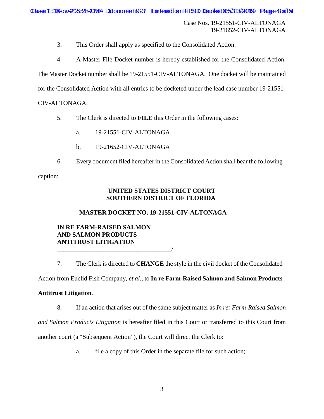Case Nos. 19-21551-CIV-ALTONAGA 19-21652-CIV-ALTONAGA

3. This Order shall apply as specified to the Consolidated Action.

4. A Master File Docket number is hereby established for the Consolidated Action.

The Master Docket number shall be 19-21551-CIV-ALTONAGA. One docket will be maintained

for the Consolidated Action with all entries to be docketed under the lead case number 19-21551-

CIV-ALTONAGA.

- 5. The Clerk is directed to **FILE** this Order in the following cases:
	- a. 19-21551-CIV-ALTONAGA
	- b. 19-21652-CIV-ALTONAGA
- 6. Every document filed hereafter in the Consolidated Action shall bear the following

caption:

# **UNITED STATES DISTRICT COURT SOUTHERN DISTRICT OF FLORIDA**

# **MASTER DOCKET NO. 19-21551-CIV-ALTONAGA**

## **IN RE FARM-RAISED SALMON AND SALMON PRODUCTS ANTITRUST LITIGATION** \_\_\_\_\_\_\_\_\_\_\_\_\_\_\_\_\_\_\_\_\_\_\_\_\_\_\_\_\_\_\_\_\_\_\_\_/

7. The Clerk is directed to **CHANGE** the style in the civil docket of the Consolidated

Action from Euclid Fish Company, *et al.*, to **In re Farm-Raised Salmon and Salmon Products** 

## **Antitrust Litigation**.

8. If an action that arises out of the same subject matter as *In re: Farm-Raised Salmon* 

*and Salmon Products Litigation* is hereafter filed in this Court or transferred to this Court from

another court (a "Subsequent Action"), the Court will direct the Clerk to:

a. file a copy of this Order in the separate file for such action;